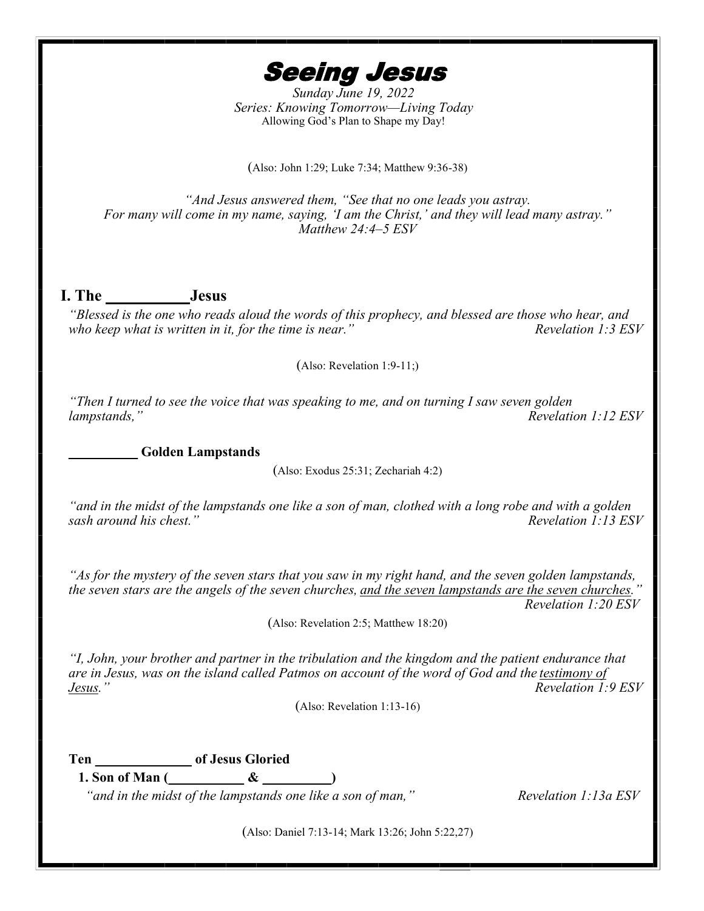Seeing Jesus

*Sunday June 19, 2022 Series: Knowing Tomorrow—Living Today* Allowing God's Plan to Shape my Day!

(Also: John 1:29; Luke 7:34; Matthew 9:36-38)

*"And Jesus answered them, "See that no one leads you astray. For many will come in my name, saying, 'I am the Christ,' and they will lead many astray." Matthew 24:4–5 ESV*

## **I. The \_\_\_\_\_\_\_\_\_\_ Jesus**

*"Blessed is the one who reads aloud the words of this prophecy, and blessed are those who hear, and who keep what is written in it, for the time is near.*<sup>"</sup>

(Also: Revelation 1:9-11;)

*"Then I turned to see the voice that was speaking to me, and on turning I saw seven golden lampstands," Revelation 1:12 ESV* 

**\_\_\_\_\_\_\_\_\_\_ Golden Lampstands**

(Also: Exodus 25:31; Zechariah 4:2)

*"and in the midst of the lampstands one like a son of man, clothed with a long robe and with a golden sash around his chest.*"

*"As for the mystery of the seven stars that you saw in my right hand, and the seven golden lampstands, the seven stars are the angels of the seven churches, and the seven lampstands are the seven churches." Revelation 1:20 ESV*

(Also: Revelation 2:5; Matthew 18:20)

*"I, John, your brother and partner in the tribulation and the kingdom and the patient endurance that are in Jesus, was on the island called Patmos on account of the word of God and the testimony of Jesus." Revelation 1:9 ESV*

(Also: Revelation 1:13-16)

**Ten \_\_\_\_\_\_\_\_\_\_\_\_\_\_ of Jesus Gloried**

**1. Son of Man (\_\_\_\_\_\_\_\_\_\_\_ & \_\_\_\_\_\_\_\_\_\_)**

*"and in the midst of the lampstands one like a son of man," Revelation 1:13a ESV* 

(Also: Daniel 7:13-14; Mark 13:26; John 5:22,27)